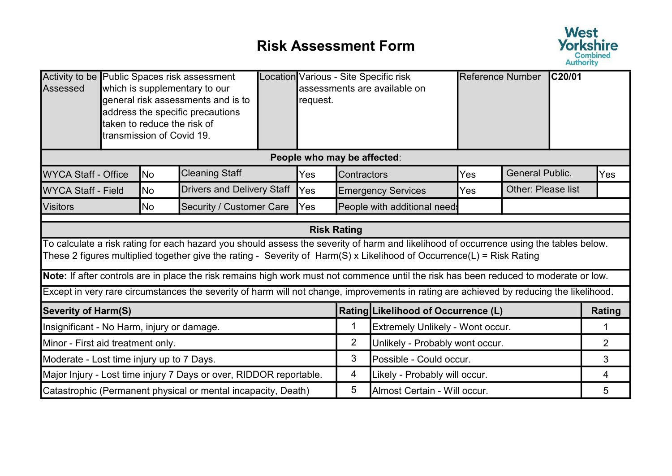## Risk Assessment Form



| Activity to be Public Spaces risk assessment<br>Assessed           |  | taken to reduce the risk of<br>transmission of Covid 19. | which is supplementary to our<br>general risk assessments and is to<br>address the specific precautions |   | request.                    |                               | Location Various - Site Specific risk<br>assessments are available on                                                                                                                                                                                           | Reference Number |                           | IC20/01        |               |
|--------------------------------------------------------------------|--|----------------------------------------------------------|---------------------------------------------------------------------------------------------------------|---|-----------------------------|-------------------------------|-----------------------------------------------------------------------------------------------------------------------------------------------------------------------------------------------------------------------------------------------------------------|------------------|---------------------------|----------------|---------------|
|                                                                    |  |                                                          |                                                                                                         |   | People who may be affected: |                               |                                                                                                                                                                                                                                                                 |                  |                           |                |               |
| <b>WYCA Staff - Office</b>                                         |  | <b>No</b>                                                | <b>Cleaning Staff</b>                                                                                   |   | Yes                         | Contractors                   |                                                                                                                                                                                                                                                                 | Yes              | <b>General Public.</b>    |                | Yes           |
| <b>WYCA Staff - Field</b>                                          |  | No                                                       | <b>Drivers and Delivery Staff</b>                                                                       |   | Yes                         |                               | <b>Emergency Services</b>                                                                                                                                                                                                                                       | Yes              | <b>Other: Please list</b> |                |               |
| <b>Visitors</b>                                                    |  | <b>No</b>                                                | <b>Security / Customer Care</b>                                                                         |   | Yes                         |                               | People with additional need:                                                                                                                                                                                                                                    |                  |                           |                |               |
|                                                                    |  |                                                          |                                                                                                         |   |                             | <b>Risk Rating</b>            |                                                                                                                                                                                                                                                                 |                  |                           |                |               |
|                                                                    |  |                                                          |                                                                                                         |   |                             |                               | To calculate a risk rating for each hazard you should assess the severity of harm and likelihood of occurrence using the tables below.<br>These 2 figures multiplied together give the rating - Severity of Harm(S) x Likelihood of Occurrence(L) = Risk Rating |                  |                           |                |               |
|                                                                    |  |                                                          |                                                                                                         |   |                             |                               | Note: If after controls are in place the risk remains high work must not commence until the risk has been reduced to moderate or low.                                                                                                                           |                  |                           |                |               |
|                                                                    |  |                                                          |                                                                                                         |   |                             |                               | Except in very rare circumstances the severity of harm will not change, improvements in rating are achieved by reducing the likelihood.                                                                                                                         |                  |                           |                |               |
| <b>Severity of Harm(S)</b>                                         |  |                                                          |                                                                                                         |   |                             |                               | Rating Likelihood of Occurrence (L)                                                                                                                                                                                                                             |                  |                           |                | <b>Rating</b> |
| Insignificant - No Harm, injury or damage.                         |  |                                                          |                                                                                                         |   |                             | 1                             | Extremely Unlikely - Wont occur.                                                                                                                                                                                                                                |                  |                           |                | 1             |
| Minor - First aid treatment only.                                  |  |                                                          |                                                                                                         |   |                             | $\overline{2}$                | Unlikely - Probably wont occur.                                                                                                                                                                                                                                 |                  |                           | $\overline{2}$ |               |
| Moderate - Lost time injury up to 7 Days.                          |  |                                                          |                                                                                                         | 3 | Possible - Could occur.     |                               |                                                                                                                                                                                                                                                                 | 3                |                           |                |               |
| Major Injury - Lost time injury 7 Days or over, RIDDOR reportable. |  |                                                          |                                                                                                         |   | 4                           | Likely - Probably will occur. |                                                                                                                                                                                                                                                                 |                  | 4                         |                |               |
|                                                                    |  |                                                          | Catastrophic (Permanent physical or mental incapacity, Death)                                           |   |                             | 5                             | Almost Certain - Will occur.                                                                                                                                                                                                                                    |                  | 5                         |                |               |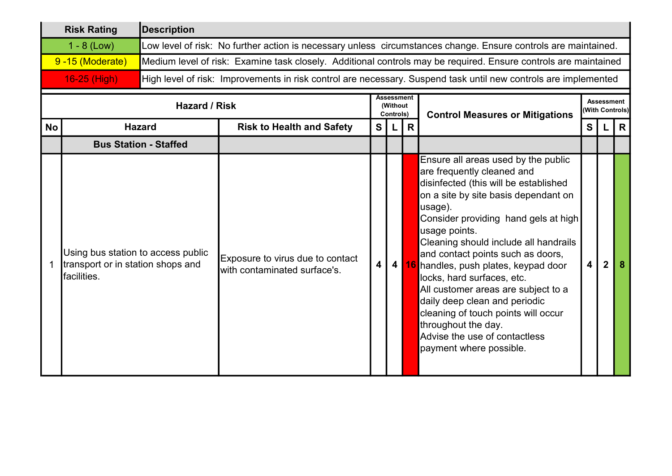| <b>Risk Rating</b> | Description                                                                                                     |
|--------------------|-----------------------------------------------------------------------------------------------------------------|
| $1 - 8$ (Low)      | Low level of risk: No further action is necessary unless circumstances change. Ensure controls are maintained.  |
| 9-15 (Moderate)    | Medium level of risk: Examine task closely. Additional controls may be required. Ensure controls are maintained |
| $16-25$ (High)     | High level of risk: Improvements in risk control are necessary. Suspend task until new controls are implemented |

|           | Hazard / Risk                                                                           |                                                                  | <b>Assessment</b><br>(Without)<br>Controls) |  | <b>Control Measures or Mitigations</b> |                                                                                                                                                                                                                                                                                                                                                                                                                                                                                                                                                                                | <b>Assessment</b><br><b>With Controls)</b> |  |              |
|-----------|-----------------------------------------------------------------------------------------|------------------------------------------------------------------|---------------------------------------------|--|----------------------------------------|--------------------------------------------------------------------------------------------------------------------------------------------------------------------------------------------------------------------------------------------------------------------------------------------------------------------------------------------------------------------------------------------------------------------------------------------------------------------------------------------------------------------------------------------------------------------------------|--------------------------------------------|--|--------------|
| <b>No</b> | <b>Hazard</b>                                                                           | <b>Risk to Health and Safety</b>                                 | $\mathbf{s}$                                |  | R                                      |                                                                                                                                                                                                                                                                                                                                                                                                                                                                                                                                                                                | S                                          |  | $\mathsf{R}$ |
|           | <b>Bus Station - Staffed</b>                                                            |                                                                  |                                             |  |                                        |                                                                                                                                                                                                                                                                                                                                                                                                                                                                                                                                                                                |                                            |  |              |
|           | Using bus station to access public<br>transport or in station shops and<br>lfacilities. | Exposure to virus due to contact<br>with contaminated surface's. | $\overline{\mathbf{4}}$                     |  |                                        | Ensure all areas used by the public<br>are frequently cleaned and<br>disinfected (this will be established<br>on a site by site basis dependant on<br>usage).<br>Consider providing hand gels at high<br>usage points.<br>Cleaning should include all handrails<br>and contact points such as doors,<br>4 16 handles, push plates, keypad door<br>locks, hard surfaces, etc.<br>All customer areas are subject to a<br>daily deep clean and periodic<br>cleaning of touch points will occur<br>throughout the day.<br>Advise the use of contactless<br>payment where possible. | $\overline{\mathbf{4}}$                    |  |              |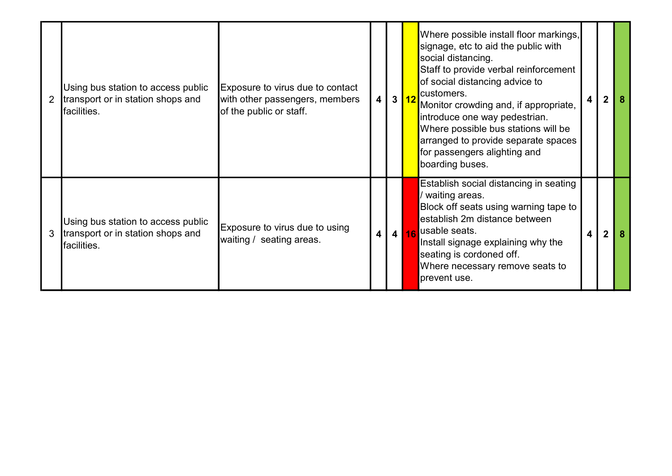| Using bus station to access public<br>transport or in station shops and<br><b>I</b> facilities. | Exposure to virus due to contact<br>with other passengers, members<br>of the public or staff. |                         | 4 3 12 |      | Where possible install floor markings,<br>signage, etc to aid the public with<br>social distancing.<br>Staff to provide verbal reinforcement<br>of social distancing advice to<br>customers.<br>Monitor crowding and, if appropriate,<br>introduce one way pedestrian.<br>Where possible bus stations will be<br>arranged to provide separate spaces<br>for passengers alighting and<br>boarding buses. | 4 |  |
|-------------------------------------------------------------------------------------------------|-----------------------------------------------------------------------------------------------|-------------------------|--------|------|---------------------------------------------------------------------------------------------------------------------------------------------------------------------------------------------------------------------------------------------------------------------------------------------------------------------------------------------------------------------------------------------------------|---|--|
| Using bus station to access public<br>transport or in station shops and<br><b>I</b> facilities. | Exposure to virus due to using<br>waiting / seating areas.                                    | $\overline{\mathbf{4}}$ |        | 4 16 | Establish social distancing in seating<br>/ waiting areas.<br>Block off seats using warning tape to<br>establish 2m distance between<br>usable seats.<br>Install signage explaining why the<br>seating is cordoned off.<br>Where necessary remove seats to<br>prevent use.                                                                                                                              | 4 |  |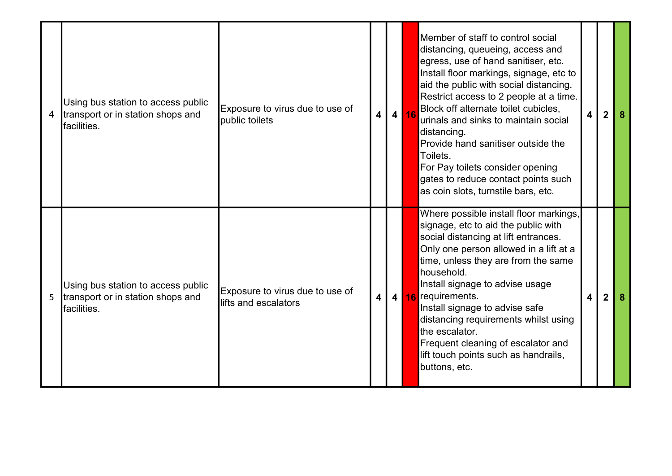| $\overline{4}$ | Using bus station to access public<br>transport or in station shops and<br>facilities.          | Exposure to virus due to use of<br>public toilets        | $\boldsymbol{4}$        | 4 16 | Member of staff to control social<br>distancing, queueing, access and<br>egress, use of hand sanitiser, etc.<br>Install floor markings, signage, etc to<br>aid the public with social distancing.<br>Restrict access to 2 people at a time.<br>Block off alternate toilet cubicles,<br>urinals and sinks to maintain social<br>distancing.<br>Provide hand sanitiser outside the<br>Toilets.<br>For Pay toilets consider opening<br>gates to reduce contact points such<br>as coin slots, turnstile bars, etc. | 4 | 2 | 8 |
|----------------|-------------------------------------------------------------------------------------------------|----------------------------------------------------------|-------------------------|------|----------------------------------------------------------------------------------------------------------------------------------------------------------------------------------------------------------------------------------------------------------------------------------------------------------------------------------------------------------------------------------------------------------------------------------------------------------------------------------------------------------------|---|---|---|
| 5              | Using bus station to access public<br>transport or in station shops and<br><b>I</b> facilities. | Exposure to virus due to use of<br>llifts and escalators | $\overline{\mathbf{4}}$ |      | Where possible install floor markings,<br>signage, etc to aid the public with<br>social distancing at lift entrances.<br>Only one person allowed in a lift at a<br>time, unless they are from the same<br>household.<br>Install signage to advise usage<br>4 16 requirements.<br>Install signage to advise safe<br>distancing requirements whilst using<br>the escalator.<br>Frequent cleaning of escalator and<br>lift touch points such as handrails,<br>buttons, etc.                                       | 4 | 2 | 8 |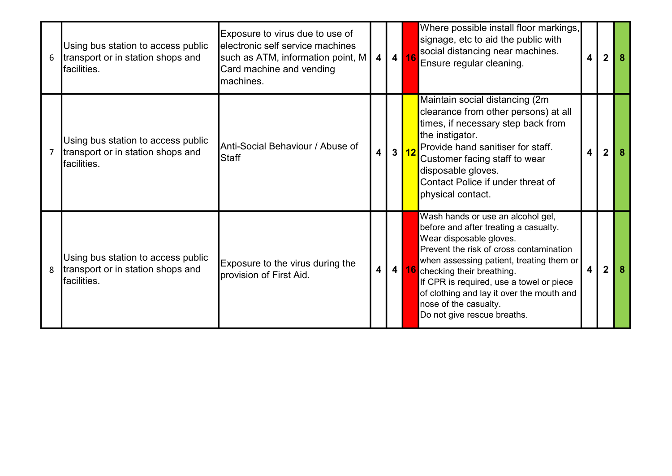| 6              | Using bus station to access public<br>transport or in station shops and<br>facilities.  | Exposure to virus due to use of<br>electronic self service machines<br>such as ATM, information point, M<br>Card machine and vending<br>machines. | 4 | 4 16 | Where possible install floor markings,<br>signage, etc to aid the public with<br>social distancing near machines.<br>Ensure regular cleaning.                                                                                                                                                                                                                                   | $\overline{\mathbf{4}}$ | 2 |  |
|----------------|-----------------------------------------------------------------------------------------|---------------------------------------------------------------------------------------------------------------------------------------------------|---|------|---------------------------------------------------------------------------------------------------------------------------------------------------------------------------------------------------------------------------------------------------------------------------------------------------------------------------------------------------------------------------------|-------------------------|---|--|
| $\overline{7}$ | Using bus station to access public<br>transport or in station shops and<br>lfacilities. | Anti-Social Behaviour / Abuse of<br>Staff                                                                                                         | 4 | 3 12 | Maintain social distancing (2m<br>clearance from other persons) at all<br>times, if necessary step back from<br>the instigator.<br>Provide hand sanitiser for staff.<br>Customer facing staff to wear<br>disposable gloves.<br>Contact Police if under threat of<br>physical contact.                                                                                           | 4                       |   |  |
| 8              | Using bus station to access public<br>transport or in station shops and<br>facilities.  | Exposure to the virus during the<br>provision of First Aid.                                                                                       | 4 |      | Wash hands or use an alcohol gel,<br>before and after treating a casualty.<br>Wear disposable gloves.<br>Prevent the risk of cross contamination<br>when assessing patient, treating them or<br>4 16 checking their breathing.<br>If CPR is required, use a towel or piece<br>of clothing and lay it over the mouth and<br>nose of the casualty.<br>Do not give rescue breaths. | 4                       | 2 |  |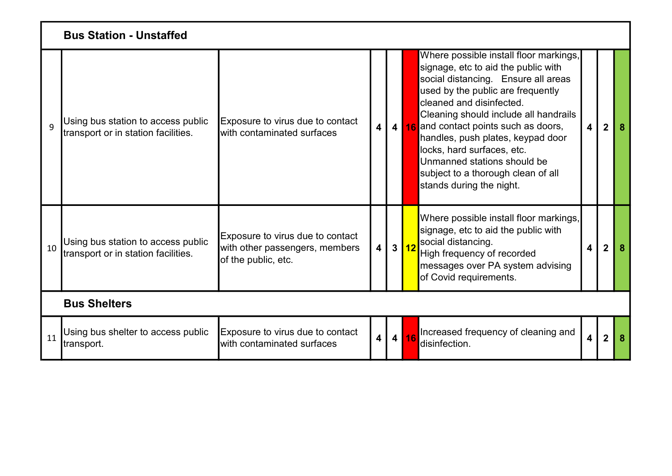|    | <b>Bus Station - Unstaffed</b>                                            |                                                                                           |                         |      |                                                                                                                                                                                                                                                                                                                                                                                                                                              |                         |                |    |
|----|---------------------------------------------------------------------------|-------------------------------------------------------------------------------------------|-------------------------|------|----------------------------------------------------------------------------------------------------------------------------------------------------------------------------------------------------------------------------------------------------------------------------------------------------------------------------------------------------------------------------------------------------------------------------------------------|-------------------------|----------------|----|
| 9  | Using bus station to access public<br>transport or in station facilities. | Exposure to virus due to contact<br>lwith contaminated surfaces                           | $\overline{\mathbf{4}}$ |      | Where possible install floor markings,<br>signage, etc to aid the public with<br>social distancing. Ensure all areas<br>used by the public are frequently<br>cleaned and disinfected.<br>Cleaning should include all handrails<br>4 16 and contact points such as doors,<br>handles, push plates, keypad door<br>locks, hard surfaces, etc.<br>Unmanned stations should be<br>subject to a thorough clean of all<br>stands during the night. | $\overline{\mathbf{4}}$ | $\overline{2}$ | -8 |
| 10 | Using bus station to access public<br>transport or in station facilities. | Exposure to virus due to contact<br>with other passengers, members<br>of the public, etc. | 4                       | 3 12 | Where possible install floor markings,<br>signage, etc to aid the public with<br>social distancing.<br>High frequency of recorded<br>messages over PA system advising<br>of Covid requirements.                                                                                                                                                                                                                                              | $\overline{\mathbf{4}}$ | $\mathbf 2$    |    |
|    | <b>Bus Shelters</b>                                                       |                                                                                           |                         |      |                                                                                                                                                                                                                                                                                                                                                                                                                                              |                         |                |    |
| 11 | Using bus shelter to access public<br>transport.                          | Exposure to virus due to contact<br>with contaminated surfaces                            |                         | 4 16 | Increased frequency of cleaning and<br>disinfection.                                                                                                                                                                                                                                                                                                                                                                                         | $\overline{\mathbf{4}}$ | $\overline{2}$ |    |